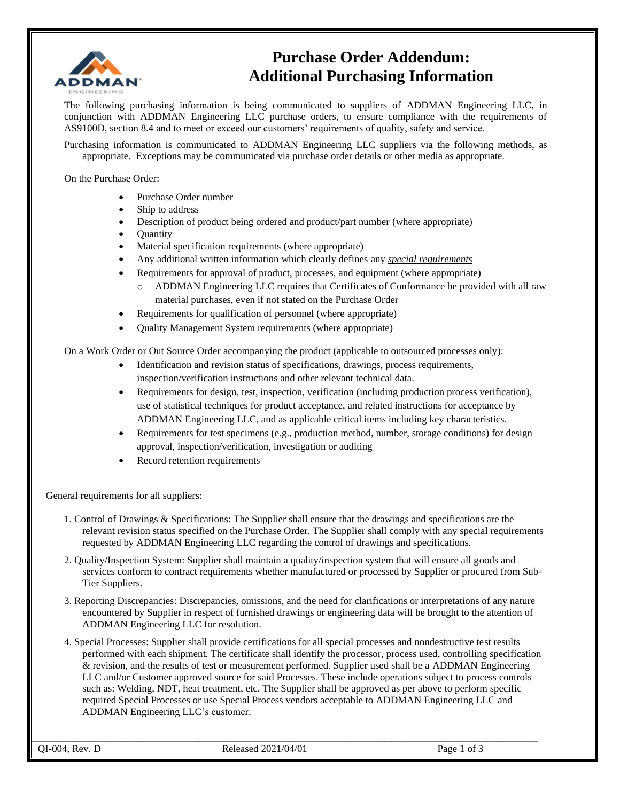

## **Purchase Order Addendum: Additional Purchasing Information**

The following purchasing information is being communicated to suppliers of ADDMAN Engineering LLC, in conjunction with ADDMAN Engineering LLC purchase orders, to ensure compliance with the requirements of AS9100D, section 8.4 and to meet or exceed our customers' requirements of quality, safety and service.

Purchasing information is communicated to ADDMAN Engineering LLC suppliers via the following methods, as appropriate. Exceptions may be communicated via purchase order details or other media as appropriate.

On the Purchase Order:

- Purchase Order number
- Ship to address
- Description of product being ordered and product/part number (where appropriate)
- Quantity
- Material specification requirements (where appropriate)
- Any additional written information which clearly defines any *special requirements*
- Requirements for approval of product, processes, and equipment (where appropriate)
	- ADDMAN Engineering LLC requires that Certificates of Conformance be provided with all raw material purchases, even if not stated on the Purchase Order
- Requirements for qualification of personnel (where appropriate)
- Quality Management System requirements (where appropriate)

On a Work Order or Out Source Order accompanying the product (applicable to outsourced processes only):

- Identification and revision status of specifications, drawings, process requirements, inspection/verification instructions and other relevant technical data.
- Requirements for design, test, inspection, verification (including production process verification), use of statistical techniques for product acceptance, and related instructions for acceptance by ADDMAN Engineering LLC, and as applicable critical items including key characteristics.
- Requirements for test specimens (e.g., production method, number, storage conditions) for design approval, inspection/verification, investigation or auditing
- Record retention requirements

General requirements for all suppliers:

- 1. Control of Drawings & Specifications: The Supplier shall ensure that the drawings and specifications are the relevant revision status specified on the Purchase Order. The Supplier shall comply with any special requirements requested by ADDMAN Engineering LLC regarding the control of drawings and specifications.
- 2. Quality/Inspection System: Supplier shall maintain a quality/inspection system that will ensure all goods and services conform to contract requirements whether manufactured or processed by Supplier or procured from Sub-Tier Suppliers.
- 3. Reporting Discrepancies: Discrepancies, omissions, and the need for clarifications or interpretations of any nature encountered by Supplier in respect of furnished drawings or engineering data will be brought to the attention of ADDMAN Engineering LLC for resolution.
- 4. Special Processes: Supplier shall provide certifications for all special processes and nondestructive test results performed with each shipment. The certificate shall identify the processor, process used, controlling specification & revision, and the results of test or measurement performed. Supplier used shall be a ADDMAN Engineering LLC and/or Customer approved source for said Processes. These include operations subject to process controls such as: Welding, NDT, heat treatment, etc. The Supplier shall be approved as per above to perform specific required Special Processes or use Special Process vendors acceptable to ADDMAN Engineering LLC and ADDMAN Engineering LLC's customer.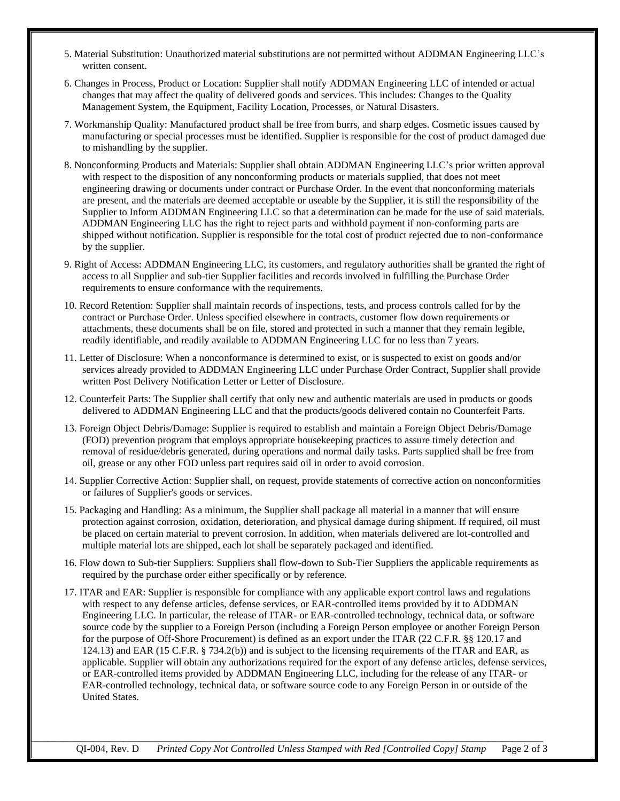- 5. Material Substitution: Unauthorized material substitutions are not permitted without ADDMAN Engineering LLC's written consent.
- 6. Changes in Process, Product or Location: Supplier shall notify ADDMAN Engineering LLC of intended or actual changes that may affect the quality of delivered goods and services. This includes: Changes to the Quality Management System, the Equipment, Facility Location, Processes, or Natural Disasters.
- 7. Workmanship Quality: Manufactured product shall be free from burrs, and sharp edges. Cosmetic issues caused by manufacturing or special processes must be identified. Supplier is responsible for the cost of product damaged due to mishandling by the supplier.
- 8. Nonconforming Products and Materials: Supplier shall obtain ADDMAN Engineering LLC's prior written approval with respect to the disposition of any nonconforming products or materials supplied, that does not meet engineering drawing or documents under contract or Purchase Order. In the event that nonconforming materials are present, and the materials are deemed acceptable or useable by the Supplier, it is still the responsibility of the Supplier to Inform ADDMAN Engineering LLC so that a determination can be made for the use of said materials. ADDMAN Engineering LLC has the right to reject parts and withhold payment if non-conforming parts are shipped without notification. Supplier is responsible for the total cost of product rejected due to non-conformance by the supplier.
- 9. Right of Access: ADDMAN Engineering LLC, its customers, and regulatory authorities shall be granted the right of access to all Supplier and sub-tier Supplier facilities and records involved in fulfilling the Purchase Order requirements to ensure conformance with the requirements.
- 10. Record Retention: Supplier shall maintain records of inspections, tests, and process controls called for by the contract or Purchase Order. Unless specified elsewhere in contracts, customer flow down requirements or attachments, these documents shall be on file, stored and protected in such a manner that they remain legible, readily identifiable, and readily available to ADDMAN Engineering LLC for no less than 7 years.
- 11. Letter of Disclosure: When a nonconformance is determined to exist, or is suspected to exist on goods and/or services already provided to ADDMAN Engineering LLC under Purchase Order Contract, Supplier shall provide written Post Delivery Notification Letter or Letter of Disclosure.
- 12. Counterfeit Parts: The Supplier shall certify that only new and authentic materials are used in products or goods delivered to ADDMAN Engineering LLC and that the products/goods delivered contain no Counterfeit Parts.
- 13. Foreign Object Debris/Damage: Supplier is required to establish and maintain a Foreign Object Debris/Damage (FOD) prevention program that employs appropriate housekeeping practices to assure timely detection and removal of residue/debris generated, during operations and normal daily tasks. Parts supplied shall be free from oil, grease or any other FOD unless part requires said oil in order to avoid corrosion.
- 14. Supplier Corrective Action: Supplier shall, on request, provide statements of corrective action on nonconformities or failures of Supplier's goods or services.
- 15. Packaging and Handling: As a minimum, the Supplier shall package all material in a manner that will ensure protection against corrosion, oxidation, deterioration, and physical damage during shipment. If required, oil must be placed on certain material to prevent corrosion. In addition, when materials delivered are lot-controlled and multiple material lots are shipped, each lot shall be separately packaged and identified.
- 16. Flow down to Sub-tier Suppliers: Suppliers shall flow-down to Sub-Tier Suppliers the applicable requirements as required by the purchase order either specifically or by reference.
- 17. ITAR and EAR: Supplier is responsible for compliance with any applicable export control laws and regulations with respect to any defense articles, defense services, or EAR-controlled items provided by it to ADDMAN Engineering LLC. In particular, the release of ITAR- or EAR-controlled technology, technical data, or software source code by the supplier to a Foreign Person (including a Foreign Person employee or another Foreign Person for the purpose of Off-Shore Procurement) is defined as an export under the ITAR (22 C.F.R. §§ 120.17 and 124.13) and EAR (15 C.F.R. § 734.2(b)) and is subject to the licensing requirements of the ITAR and EAR, as applicable. Supplier will obtain any authorizations required for the export of any defense articles, defense services, or EAR-controlled items provided by ADDMAN Engineering LLC, including for the release of any ITAR- or EAR-controlled technology, technical data, or software source code to any Foreign Person in or outside of the United States.

QI-004, Rev. D *Printed Copy Not Controlled Unless Stamped with Red [Controlled Copy] Stamp* Page 2 of 3

\_\_\_\_\_\_\_\_\_\_\_\_\_\_\_\_\_\_\_\_\_\_\_\_\_\_\_\_\_\_\_\_\_\_\_\_\_\_\_\_\_\_\_\_\_\_\_\_\_\_\_\_\_\_\_\_\_\_\_\_\_\_\_\_\_\_\_\_\_\_\_\_\_\_\_\_\_\_\_\_\_\_\_\_\_\_\_\_\_\_\_\_\_\_\_\_\_\_\_\_\_\_